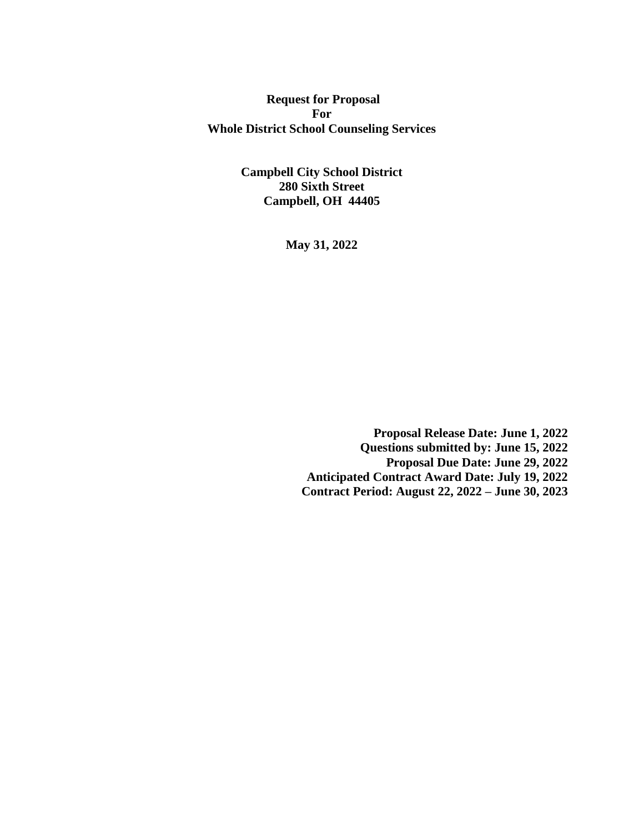**Request for Proposal For Whole District School Counseling Services**

> **Campbell City School District 280 Sixth Street Campbell, OH 44405**

> > **May 31, 2022**

**Proposal Release Date: June 1, 2022 Questions submitted by: June 15, 2022 Proposal Due Date: June 29, 2022 Anticipated Contract Award Date: July 19, 2022 Contract Period: August 22, 2022 – June 30, 2023**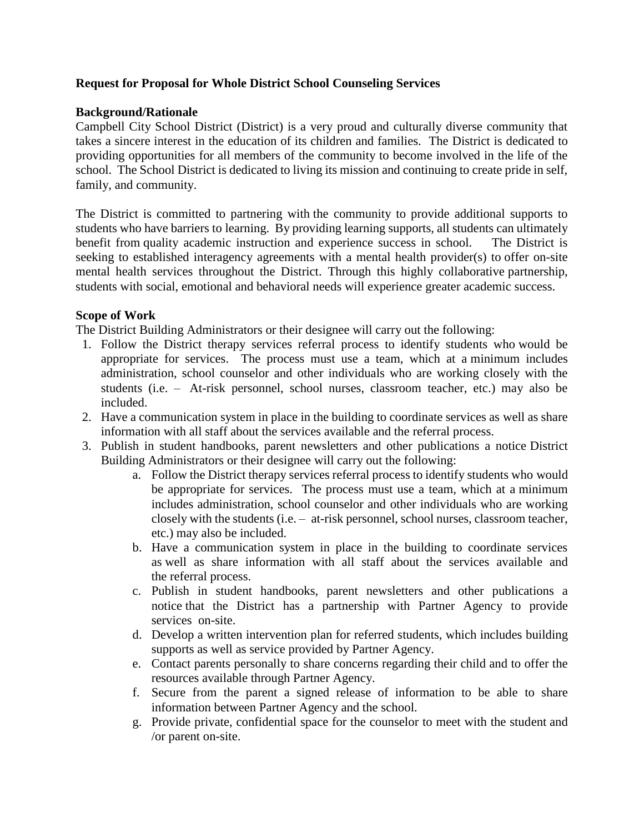# **Request for Proposal for Whole District School Counseling Services**

# **Background/Rationale**

Campbell City School District (District) is a very proud and culturally diverse community that takes a sincere interest in the education of its children and families. The District is dedicated to providing opportunities for all members of the community to become involved in the life of the school. The School District is dedicated to living its mission and continuing to create pride in self, family, and community.

The District is committed to partnering with the community to provide additional supports to students who have barriers to learning. By providing learning supports, all students can ultimately benefit from quality academic instruction and experience success in school. The District is seeking to established interagency agreements with a mental health provider(s) to offer on-site mental health services throughout the District. Through this highly collaborative partnership, students with social, emotional and behavioral needs will experience greater academic success.

# **Scope of Work**

The District Building Administrators or their designee will carry out the following:

- 1. Follow the District therapy services referral process to identify students who would be appropriate for services. The process must use a team, which at a minimum includes administration, school counselor and other individuals who are working closely with the students (i.e. – At-risk personnel, school nurses, classroom teacher, etc.) may also be included.
- 2. Have a communication system in place in the building to coordinate services as well as share information with all staff about the services available and the referral process.
- 3. Publish in student handbooks, parent newsletters and other publications a notice District Building Administrators or their designee will carry out the following:
	- a. Follow the District therapy services referral process to identify students who would be appropriate for services. The process must use a team, which at a minimum includes administration, school counselor and other individuals who are working closely with the students (i.e. – at-risk personnel, school nurses, classroom teacher, etc.) may also be included.
	- b. Have a communication system in place in the building to coordinate services as well as share information with all staff about the services available and the referral process.
	- c. Publish in student handbooks, parent newsletters and other publications a notice that the District has a partnership with Partner Agency to provide services on-site.
	- d. Develop a written intervention plan for referred students, which includes building supports as well as service provided by Partner Agency.
	- e. Contact parents personally to share concerns regarding their child and to offer the resources available through Partner Agency.
	- f. Secure from the parent a signed release of information to be able to share information between Partner Agency and the school.
	- g. Provide private, confidential space for the counselor to meet with the student and /or parent on-site.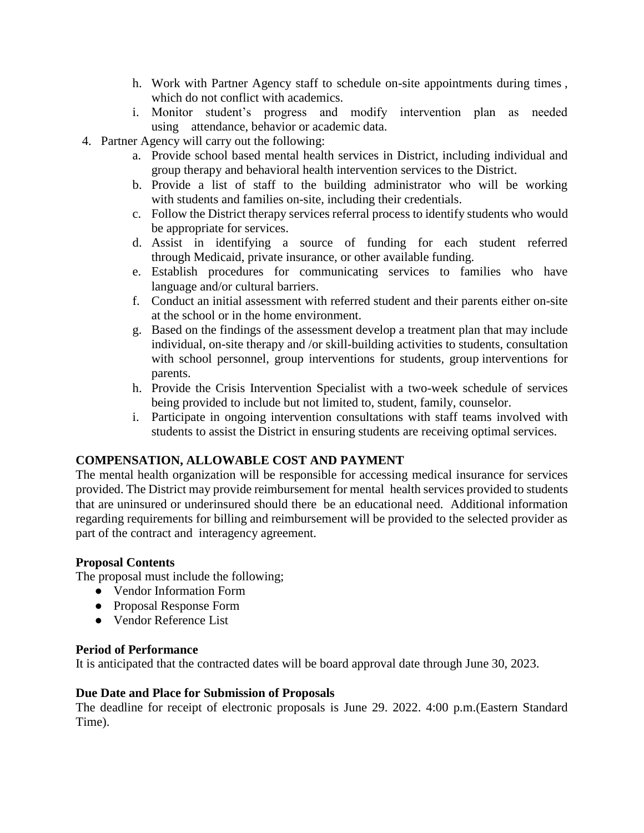- h. Work with Partner Agency staff to schedule on-site appointments during times , which do not conflict with academics.
- i. Monitor student's progress and modify intervention plan as needed using attendance, behavior or academic data.
- 4. Partner Agency will carry out the following:
	- a. Provide school based mental health services in District, including individual and group therapy and behavioral health intervention services to the District.
	- b. Provide a list of staff to the building administrator who will be working with students and families on-site, including their credentials.
	- c. Follow the District therapy services referral process to identify students who would be appropriate for services.
	- d. Assist in identifying a source of funding for each student referred through Medicaid, private insurance, or other available funding.
	- e. Establish procedures for communicating services to families who have language and/or cultural barriers.
	- f. Conduct an initial assessment with referred student and their parents either on-site at the school or in the home environment.
	- g. Based on the findings of the assessment develop a treatment plan that may include individual, on-site therapy and /or skill-building activities to students, consultation with school personnel, group interventions for students, group interventions for parents.
	- h. Provide the Crisis Intervention Specialist with a two-week schedule of services being provided to include but not limited to, student, family, counselor.
	- i. Participate in ongoing intervention consultations with staff teams involved with students to assist the District in ensuring students are receiving optimal services.

### **COMPENSATION, ALLOWABLE COST AND PAYMENT**

The mental health organization will be responsible for accessing medical insurance for services provided. The District may provide reimbursement for mental health services provided to students that are uninsured or underinsured should there be an educational need. Additional information regarding requirements for billing and reimbursement will be provided to the selected provider as part of the contract and interagency agreement.

### **Proposal Contents**

The proposal must include the following;

- Vendor Information Form
- Proposal Response Form
- Vendor Reference List

### **Period of Performance**

It is anticipated that the contracted dates will be board approval date through June 30, 2023.

#### **Due Date and Place for Submission of Proposals**

The deadline for receipt of electronic proposals is June 29. 2022. 4:00 p.m.(Eastern Standard Time).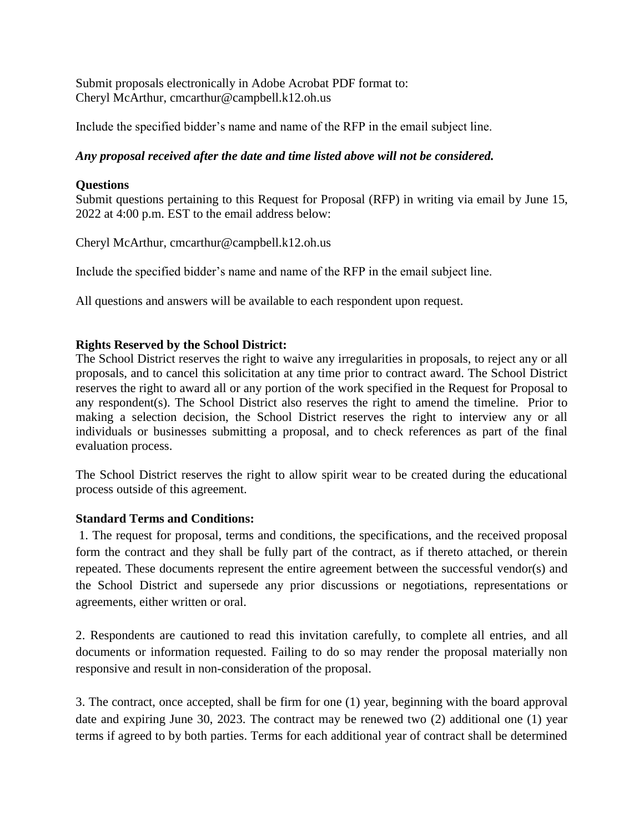Submit proposals electronically in Adobe Acrobat PDF format to: Cheryl McArthur, cmcarthur@campbell.k12.oh.us

Include the specified bidder's name and name of the RFP in the email subject line.

# *Any proposal received after the date and time listed above will not be considered.*

### **Questions**

Submit questions pertaining to this Request for Proposal (RFP) in writing via email by June 15, 2022 at 4:00 p.m. EST to the email address below:

Cheryl McArthur, cmcarthur@campbell.k12.oh.us

Include the specified bidder's name and name of the RFP in the email subject line.

All questions and answers will be available to each respondent upon request.

# **Rights Reserved by the School District:**

The School District reserves the right to waive any irregularities in proposals, to reject any or all proposals, and to cancel this solicitation at any time prior to contract award. The School District reserves the right to award all or any portion of the work specified in the Request for Proposal to any respondent(s). The School District also reserves the right to amend the timeline. Prior to making a selection decision, the School District reserves the right to interview any or all individuals or businesses submitting a proposal, and to check references as part of the final evaluation process.

The School District reserves the right to allow spirit wear to be created during the educational process outside of this agreement.

### **Standard Terms and Conditions:**

1. The request for proposal, terms and conditions, the specifications, and the received proposal form the contract and they shall be fully part of the contract, as if thereto attached, or therein repeated. These documents represent the entire agreement between the successful vendor(s) and the School District and supersede any prior discussions or negotiations, representations or agreements, either written or oral.

2. Respondents are cautioned to read this invitation carefully, to complete all entries, and all documents or information requested. Failing to do so may render the proposal materially non responsive and result in non-consideration of the proposal.

3. The contract, once accepted, shall be firm for one (1) year, beginning with the board approval date and expiring June 30, 2023. The contract may be renewed two (2) additional one (1) year terms if agreed to by both parties. Terms for each additional year of contract shall be determined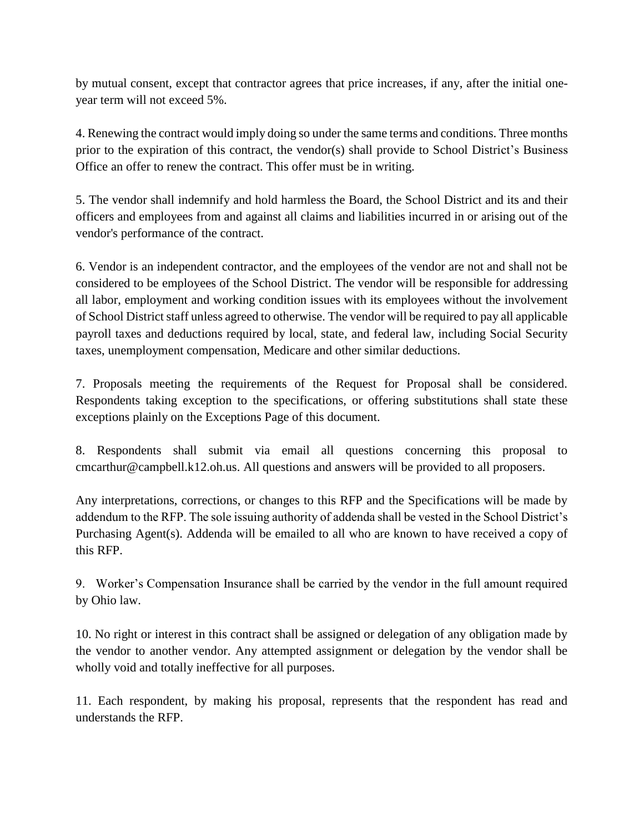by mutual consent, except that contractor agrees that price increases, if any, after the initial oneyear term will not exceed 5%.

4. Renewing the contract would imply doing so under the same terms and conditions. Three months prior to the expiration of this contract, the vendor(s) shall provide to School District's Business Office an offer to renew the contract. This offer must be in writing.

5. The vendor shall indemnify and hold harmless the Board, the School District and its and their officers and employees from and against all claims and liabilities incurred in or arising out of the vendor's performance of the contract.

6. Vendor is an independent contractor, and the employees of the vendor are not and shall not be considered to be employees of the School District. The vendor will be responsible for addressing all labor, employment and working condition issues with its employees without the involvement of School District staff unless agreed to otherwise. The vendor will be required to pay all applicable payroll taxes and deductions required by local, state, and federal law, including Social Security taxes, unemployment compensation, Medicare and other similar deductions.

7. Proposals meeting the requirements of the Request for Proposal shall be considered. Respondents taking exception to the specifications, or offering substitutions shall state these exceptions plainly on the Exceptions Page of this document.

8. Respondents shall submit via email all questions concerning this proposal to cmcarthur@campbell.k12.oh.us. All questions and answers will be provided to all proposers.

Any interpretations, corrections, or changes to this RFP and the Specifications will be made by addendum to the RFP. The sole issuing authority of addenda shall be vested in the School District's Purchasing Agent(s). Addenda will be emailed to all who are known to have received a copy of this RFP.

9. Worker's Compensation Insurance shall be carried by the vendor in the full amount required by Ohio law.

10. No right or interest in this contract shall be assigned or delegation of any obligation made by the vendor to another vendor. Any attempted assignment or delegation by the vendor shall be wholly void and totally ineffective for all purposes.

11. Each respondent, by making his proposal, represents that the respondent has read and understands the RFP.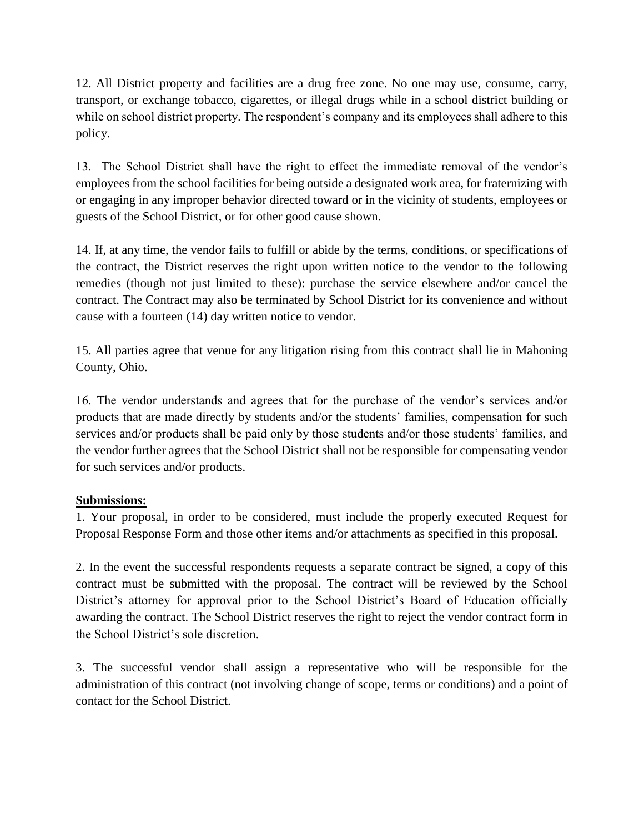12. All District property and facilities are a drug free zone. No one may use, consume, carry, transport, or exchange tobacco, cigarettes, or illegal drugs while in a school district building or while on school district property. The respondent's company and its employees shall adhere to this policy.

13. The School District shall have the right to effect the immediate removal of the vendor's employees from the school facilities for being outside a designated work area, for fraternizing with or engaging in any improper behavior directed toward or in the vicinity of students, employees or guests of the School District, or for other good cause shown.

14. If, at any time, the vendor fails to fulfill or abide by the terms, conditions, or specifications of the contract, the District reserves the right upon written notice to the vendor to the following remedies (though not just limited to these): purchase the service elsewhere and/or cancel the contract. The Contract may also be terminated by School District for its convenience and without cause with a fourteen (14) day written notice to vendor.

15. All parties agree that venue for any litigation rising from this contract shall lie in Mahoning County, Ohio.

16. The vendor understands and agrees that for the purchase of the vendor's services and/or products that are made directly by students and/or the students' families, compensation for such services and/or products shall be paid only by those students and/or those students' families, and the vendor further agrees that the School District shall not be responsible for compensating vendor for such services and/or products.

# **Submissions:**

1. Your proposal, in order to be considered, must include the properly executed Request for Proposal Response Form and those other items and/or attachments as specified in this proposal.

2. In the event the successful respondents requests a separate contract be signed, a copy of this contract must be submitted with the proposal. The contract will be reviewed by the School District's attorney for approval prior to the School District's Board of Education officially awarding the contract. The School District reserves the right to reject the vendor contract form in the School District's sole discretion.

3. The successful vendor shall assign a representative who will be responsible for the administration of this contract (not involving change of scope, terms or conditions) and a point of contact for the School District.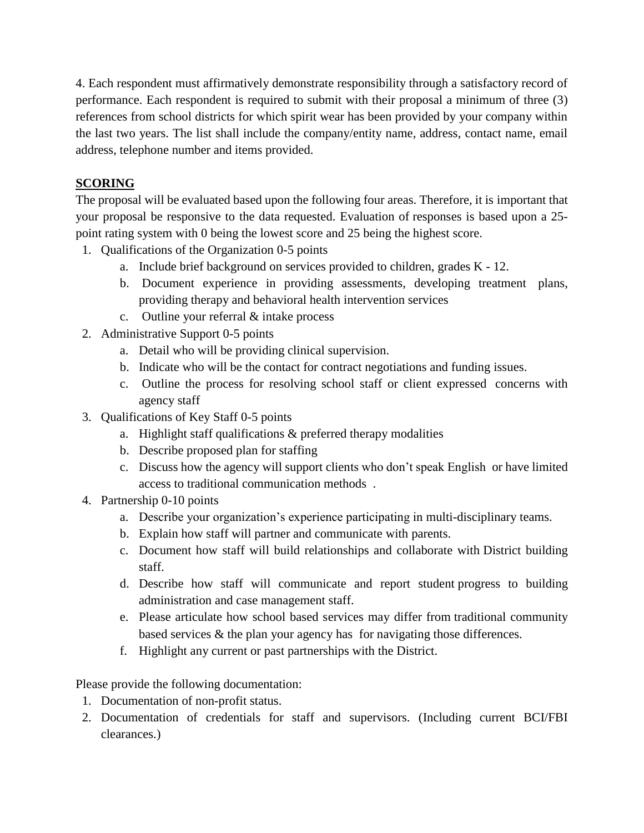4. Each respondent must affirmatively demonstrate responsibility through a satisfactory record of performance. Each respondent is required to submit with their proposal a minimum of three (3) references from school districts for which spirit wear has been provided by your company within the last two years. The list shall include the company/entity name, address, contact name, email address, telephone number and items provided.

# **SCORING**

The proposal will be evaluated based upon the following four areas. Therefore, it is important that your proposal be responsive to the data requested. Evaluation of responses is based upon a 25 point rating system with 0 being the lowest score and 25 being the highest score.

- 1. Qualifications of the Organization 0-5 points
	- a. Include brief background on services provided to children, grades K 12.
	- b. Document experience in providing assessments, developing treatment plans, providing therapy and behavioral health intervention services
	- c. Outline your referral & intake process
- 2. Administrative Support 0-5 points
	- a. Detail who will be providing clinical supervision.
	- b. Indicate who will be the contact for contract negotiations and funding issues.
	- c. Outline the process for resolving school staff or client expressed concerns with agency staff
- 3. Qualifications of Key Staff 0-5 points
	- a. Highlight staff qualifications & preferred therapy modalities
	- b. Describe proposed plan for staffing
	- c. Discuss how the agency will support clients who don't speak English or have limited access to traditional communication methods .
- 4. Partnership 0-10 points
	- a. Describe your organization's experience participating in multi-disciplinary teams.
	- b. Explain how staff will partner and communicate with parents.
	- c. Document how staff will build relationships and collaborate with District building staff.
	- d. Describe how staff will communicate and report student progress to building administration and case management staff.
	- e. Please articulate how school based services may differ from traditional community based services & the plan your agency has for navigating those differences.
	- f. Highlight any current or past partnerships with the District.

Please provide the following documentation:

- 1. Documentation of non-profit status.
- 2. Documentation of credentials for staff and supervisors. (Including current BCI/FBI clearances.)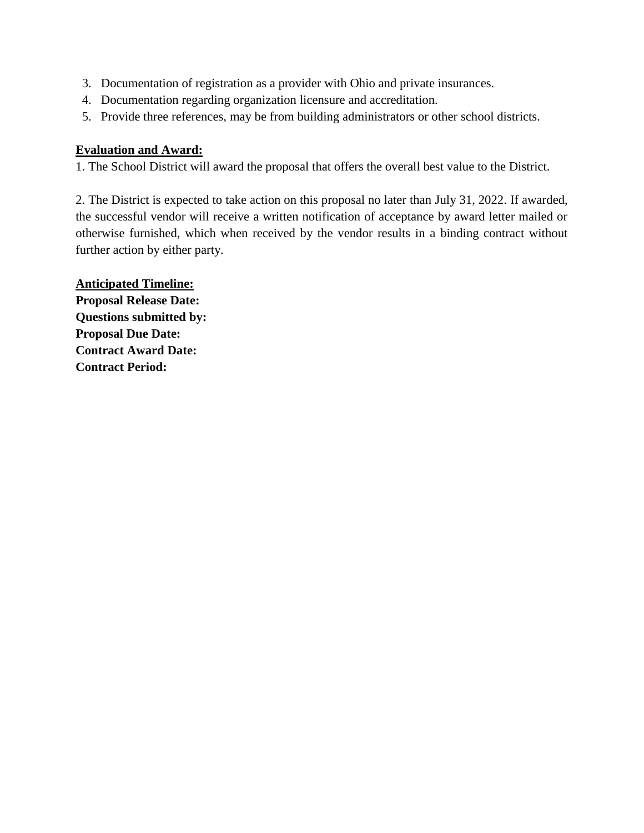- 3. Documentation of registration as a provider with Ohio and private insurances.
- 4. Documentation regarding organization licensure and accreditation.
- 5. Provide three references, may be from building administrators or other school districts.

# **Evaluation and Award:**

1. The School District will award the proposal that offers the overall best value to the District.

2. The District is expected to take action on this proposal no later than July 31, 2022. If awarded, the successful vendor will receive a written notification of acceptance by award letter mailed or otherwise furnished, which when received by the vendor results in a binding contract without further action by either party.

**Anticipated Timeline: Proposal Release Date: Questions submitted by: Proposal Due Date: Contract Award Date: Contract Period:**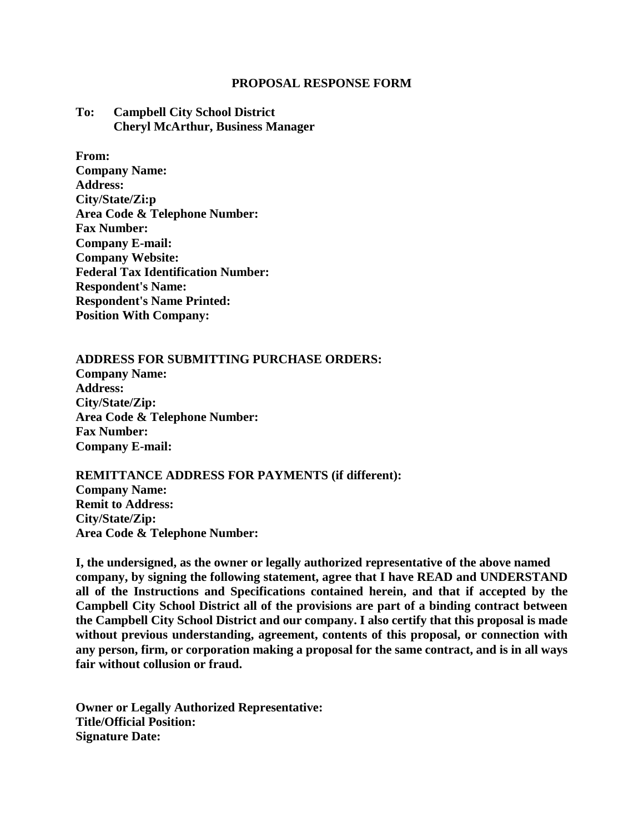#### **PROPOSAL RESPONSE FORM**

#### **To: Campbell City School District Cheryl McArthur, Business Manager**

**From: Company Name: Address: City/State/Zi:p Area Code & Telephone Number: Fax Number: Company E-mail: Company Website: Federal Tax Identification Number: Respondent's Name: Respondent's Name Printed: Position With Company:**

#### **ADDRESS FOR SUBMITTING PURCHASE ORDERS:**

**Company Name: Address: City/State/Zip: Area Code & Telephone Number: Fax Number: Company E-mail:**

### **REMITTANCE ADDRESS FOR PAYMENTS (if different): Company Name: Remit to Address: City/State/Zip: Area Code & Telephone Number:**

**I, the undersigned, as the owner or legally authorized representative of the above named company, by signing the following statement, agree that I have READ and UNDERSTAND all of the Instructions and Specifications contained herein, and that if accepted by the Campbell City School District all of the provisions are part of a binding contract between the Campbell City School District and our company. I also certify that this proposal is made without previous understanding, agreement, contents of this proposal, or connection with any person, firm, or corporation making a proposal for the same contract, and is in all ways fair without collusion or fraud.**

**Owner or Legally Authorized Representative: Title/Official Position: Signature Date:**